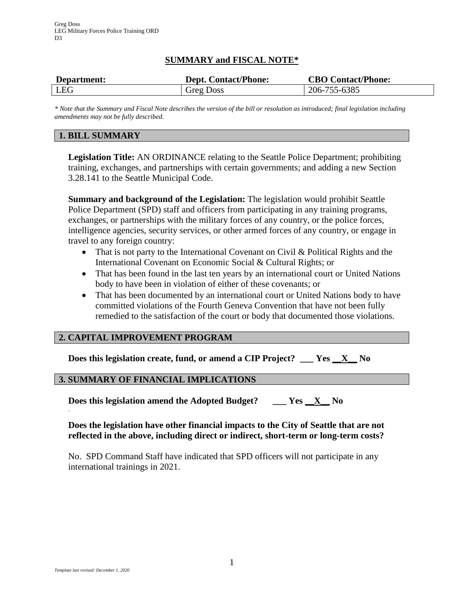# **SUMMARY and FISCAL NOTE\***

| Department: | <b>Dept. Contact/Phone:</b> | <b>CBO Contact/Phone:</b> |
|-------------|-----------------------------|---------------------------|
| LEG         | <b>Greg Doss</b>            | 206-755-6385              |

*\* Note that the Summary and Fiscal Note describes the version of the bill or resolution as introduced; final legislation including amendments may not be fully described.*

# **1. BILL SUMMARY**

**Legislation Title:** AN ORDINANCE relating to the Seattle Police Department; prohibiting training, exchanges, and partnerships with certain governments; and adding a new Section 3.28.141 to the Seattle Municipal Code.

**Summary and background of the Legislation:** The legislation would prohibit Seattle Police Department (SPD) staff and officers from participating in any training programs, exchanges, or partnerships with the military forces of any country, or the police forces, intelligence agencies, security services, or other armed forces of any country, or engage in travel to any foreign country:

- That is not party to the International Covenant on Civil & Political Rights and the International Covenant on Economic Social & Cultural Rights; or
- That has been found in the last ten years by an international court or United Nations body to have been in violation of either of these covenants; or
- That has been documented by an international court or United Nations body to have committed violations of the Fourth Geneva Convention that have not been fully remedied to the satisfaction of the court or body that documented those violations.

### **2. CAPITAL IMPROVEMENT PROGRAM**

**Does this legislation create, fund, or amend a CIP Project? \_\_\_ Yes \_\_X\_\_ No**

### **3. SUMMARY OF FINANCIAL IMPLICATIONS**

**Does this legislation amend the Adopted Budget? \_\_\_ Yes \_\_X\_\_ No** .

### **Does the legislation have other financial impacts to the City of Seattle that are not reflected in the above, including direct or indirect, short-term or long-term costs?**

No. SPD Command Staff have indicated that SPD officers will not participate in any international trainings in 2021.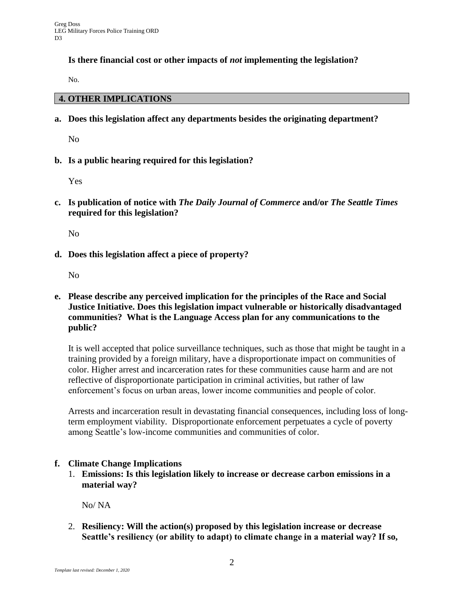### **Is there financial cost or other impacts of** *not* **implementing the legislation?**

No.

### **4. OTHER IMPLICATIONS**

**a. Does this legislation affect any departments besides the originating department?**

No

**b. Is a public hearing required for this legislation?**

Yes

**c. Is publication of notice with** *The Daily Journal of Commerce* **and/or** *The Seattle Times* **required for this legislation?**

No

**d. Does this legislation affect a piece of property?**

No

**e. Please describe any perceived implication for the principles of the Race and Social Justice Initiative. Does this legislation impact vulnerable or historically disadvantaged communities? What is the Language Access plan for any communications to the public?**

It is well accepted that police surveillance techniques, such as those that might be taught in a training provided by a foreign military, have a disproportionate impact on communities of color. Higher arrest and incarceration rates for these communities cause harm and are not reflective of disproportionate participation in criminal activities, but rather of law enforcement's focus on urban areas, lower income communities and people of color.

Arrests and incarceration result in devastating financial consequences, including loss of longterm employment viability. Disproportionate enforcement perpetuates a cycle of poverty among Seattle's low-income communities and communities of color.

### **f. Climate Change Implications**

1. **Emissions: Is this legislation likely to increase or decrease carbon emissions in a material way?** 

No/ NA

2. **Resiliency: Will the action(s) proposed by this legislation increase or decrease Seattle's resiliency (or ability to adapt) to climate change in a material way? If so,**